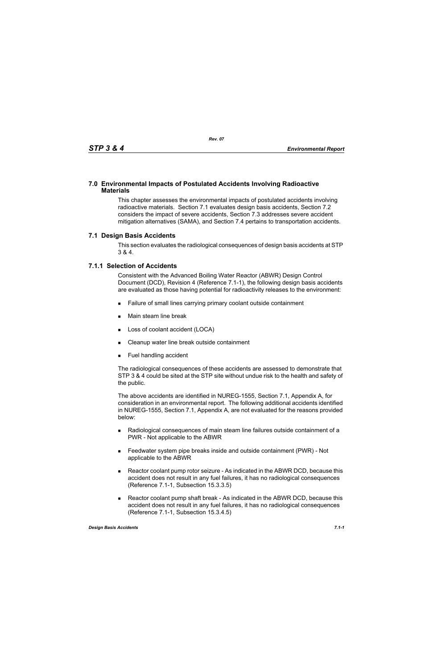#### **7.0 Environmental Impacts of Postulated Accidents Involving Radioactive Materials**

This chapter assesses the environmental impacts of postulated accidents involving radioactive materials. Section 7.1 evaluates design basis accidents, Section 7.2 considers the impact of severe accidents, Section 7.3 addresses severe accident mitigation alternatives (SAMA), and Section 7.4 pertains to transportation accidents.

#### **7.1 Design Basis Accidents**

This section evaluates the radiological consequences of design basis accidents at STP 3 & 4.

#### **7.1.1 Selection of Accidents**

Consistent with the Advanced Boiling Water Reactor (ABWR) Design Control Document (DCD), Revision 4 (Reference 7.1-1), the following design basis accidents are evaluated as those having potential for radioactivity releases to the environment:

- Failure of small lines carrying primary coolant outside containment
- **Main steam line break**
- **Loss of coolant accident (LOCA)**
- Cleanup water line break outside containment
- **Fuel handling accident**

The radiological consequences of these accidents are assessed to demonstrate that STP 3 & 4 could be sited at the STP site without undue risk to the health and safety of the public.

The above accidents are identified in NUREG-1555, Section 7.1, Appendix A, for consideration in an environmental report. The following additional accidents identified in NUREG-1555, Section 7.1, Appendix A, are not evaluated for the reasons provided below:

- Radiological consequences of main steam line failures outside containment of a PWR - Not applicable to the ABWR
- Feedwater system pipe breaks inside and outside containment (PWR) Not applicable to the ABWR
- Reactor coolant pump rotor seizure As indicated in the ABWR DCD, because this accident does not result in any fuel failures, it has no radiological consequences (Reference 7.1-1, Subsection 15.3.3.5)
- Reactor coolant pump shaft break As indicated in the ABWR DCD, because this accident does not result in any fuel failures, it has no radiological consequences (Reference 7.1-1, Subsection 15.3.4.5)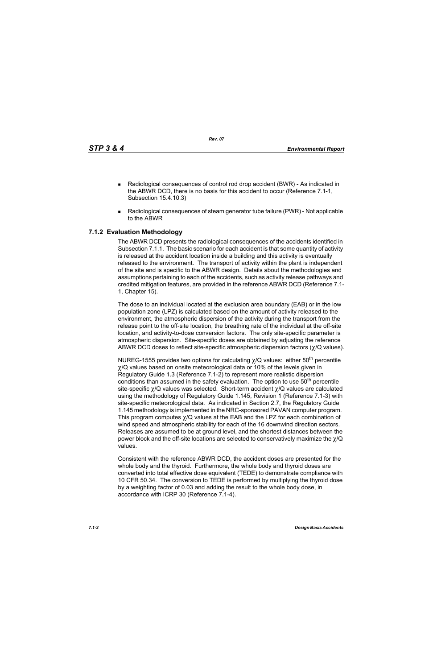*Rev. 07*

- Radiological consequences of control rod drop accident (BWR) As indicated in the ABWR DCD, there is no basis for this accident to occur (Reference 7.1-1, Subsection 15.4.10.3)
- Radiological consequences of steam generator tube failure (PWR) Not applicable to the ABWR

# **7.1.2 Evaluation Methodology**

The ABWR DCD presents the radiological consequences of the accidents identified in Subsection 7.1.1. The basic scenario for each accident is that some quantity of activity is released at the accident location inside a building and this activity is eventually released to the environment. The transport of activity within the plant is independent of the site and is specific to the ABWR design. Details about the methodologies and assumptions pertaining to each of the accidents, such as activity release pathways and credited mitigation features, are provided in the reference ABWR DCD (Reference 7.1- 1, Chapter 15).

The dose to an individual located at the exclusion area boundary (EAB) or in the low population zone (LPZ) is calculated based on the amount of activity released to the environment, the atmospheric dispersion of the activity during the transport from the release point to the off-site location, the breathing rate of the individual at the off-site location, and activity-to-dose conversion factors. The only site-specific parameter is atmospheric dispersion. Site-specific doses are obtained by adjusting the reference ABWR DCD doses to reflect site-specific atmospheric dispersion factors (χ/Q values).

NUREG-1555 provides two options for calculating  $\chi$ /Q values: either 50<sup>th</sup> percentile χ/Q values based on onsite meteorological data or 10% of the levels given in Regulatory Guide 1.3 (Reference 7.1-2) to represent more realistic dispersion conditions than assumed in the safety evaluation. The option to use  $50<sup>th</sup>$  percentile site-specific χ/Q values was selected. Short-term accident χ/Q values are calculated using the methodology of Regulatory Guide 1.145, Revision 1 (Reference 7.1-3) with site-specific meteorological data. As indicated in Section 2.7, the Regulatory Guide 1.145 methodology is implemented in the NRC-sponsored PAVAN computer program. This program computes χ/Q values at the EAB and the LPZ for each combination of wind speed and atmospheric stability for each of the 16 downwind direction sectors. Releases are assumed to be at ground level, and the shortest distances between the power block and the off-site locations are selected to conservatively maximize the  $\chi$ /Q values.

Consistent with the reference ABWR DCD, the accident doses are presented for the whole body and the thyroid. Furthermore, the whole body and thyroid doses are converted into total effective dose equivalent (TEDE) to demonstrate compliance with 10 CFR 50.34. The conversion to TEDE is performed by multiplying the thyroid dose by a weighting factor of 0.03 and adding the result to the whole body dose, in accordance with ICRP 30 (Reference 7.1-4).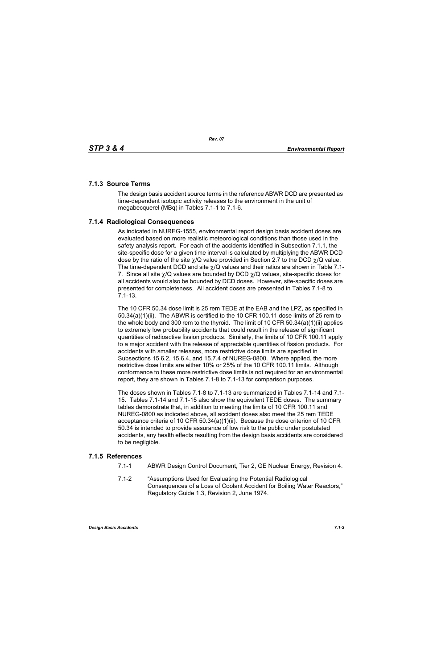# **7.1.3 Source Terms**

The design basis accident source terms in the reference ABWR DCD are presented as time-dependent isotopic activity releases to the environment in the unit of megabecquerel (MBq) in Tables 7.1-1 to 7.1-6.

# **7.1.4 Radiological Consequences**

As indicated in NUREG-1555, environmental report design basis accident doses are evaluated based on more realistic meteorological conditions than those used in the safety analysis report. For each of the accidents identified in Subsection 7.1.1, the site-specific dose for a given time interval is calculated by multiplying the ABWR DCD dose by the ratio of the site  $\chi$ /Q value provided in Section 2.7 to the DCD  $\chi$ /Q value. The time-dependent DCD and site  $\gamma$ /Q values and their ratios are shown in Table 7.1-7. Since all site  $\chi$ /Q values are bounded by DCD  $\chi$ /Q values, site-specific doses for all accidents would also be bounded by DCD doses. However, site-specific doses are presented for completeness. All accident doses are presented in Tables 7.1-8 to 7.1-13.

The 10 CFR 50.34 dose limit is 25 rem TEDE at the EAB and the LPZ, as specified in 50.34(a)(1)(ii). The ABWR is certified to the 10 CFR 100.11 dose limits of 25 rem to the whole body and 300 rem to the thyroid. The limit of 10 CFR 50.34(a)(1)(ii) applies to extremely low probability accidents that could result in the release of significant quantities of radioactive fission products. Similarly, the limits of 10 CFR 100.11 apply to a major accident with the release of appreciable quantities of fission products. For accidents with smaller releases, more restrictive dose limits are specified in Subsections 15.6.2, 15.6.4, and 15.7.4 of NUREG-0800. Where applied, the more restrictive dose limits are either 10% or 25% of the 10 CFR 100.11 limits. Although conformance to these more restrictive dose limits is not required for an environmental report, they are shown in Tables 7.1-8 to 7.1-13 for comparison purposes.

The doses shown in Tables 7.1-8 to 7.1-13 are summarized in Tables 7.1-14 and 7.1- 15. Tables 7.1-14 and 7.1-15 also show the equivalent TEDE doses. The summary tables demonstrate that, in addition to meeting the limits of 10 CFR 100.11 and NUREG-0800 as indicated above, all accident doses also meet the 25 rem TEDE acceptance criteria of 10 CFR 50.34(a)(1)(ii). Because the dose criterion of 10 CFR 50.34 is intended to provide assurance of low risk to the public under postulated accidents, any health effects resulting from the design basis accidents are considered to be negligible.

### **7.1.5 References**

- 7.1-1 ABWR Design Control Document, Tier 2, GE Nuclear Energy, Revision 4.
- 7.1-2 "Assumptions Used for Evaluating the Potential Radiological Consequences of a Loss of Coolant Accident for Boiling Water Reactors," Regulatory Guide 1.3, Revision 2, June 1974.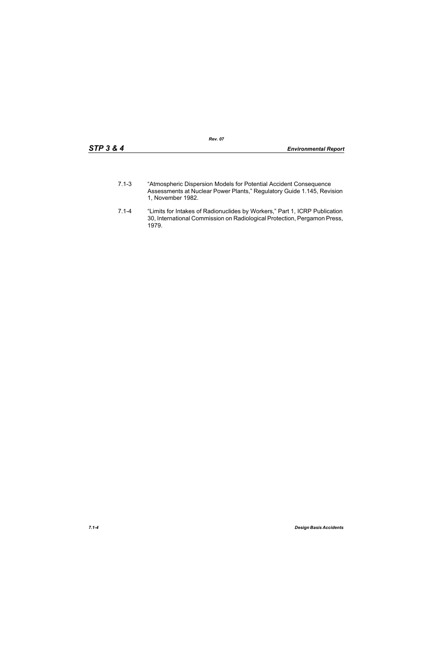- 7.1-3 "Atmospheric Dispersion Models for Potential Accident Consequence Assessments at Nuclear Power Plants," Regulatory Guide 1.145, Revision 1, November 1982.
- 7.1-4 "Limits for Intakes of Radionuclides by Workers," Part 1, ICRP Publication 30, International Commission on Radiological Protection, Pergamon Press, 1979.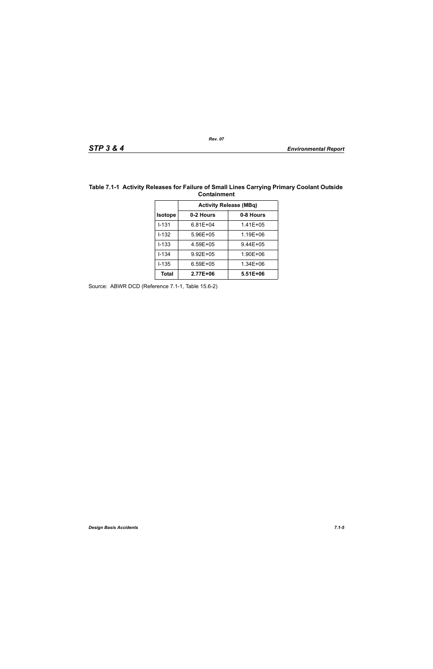| <b>Activity Release (MBq)</b> |              |              |  |  |  |
|-------------------------------|--------------|--------------|--|--|--|
| <b>Isotope</b>                | 0-2 Hours    | 0-8 Hours    |  |  |  |
| $1 - 131$                     | 6.81E+04     | $1.41E + 05$ |  |  |  |
| I-132                         | 5.96E+05     | 1.19E+06     |  |  |  |
| $1 - 133$                     | 4.59E+05     | $9.44E + 05$ |  |  |  |
| $1 - 134$                     | $9.92E + 05$ | 1.90E+06     |  |  |  |
| $1 - 135$                     | $6.59E + 05$ | 1.34E+06     |  |  |  |
| Total                         | 2.77E+06     | $5.51E + 06$ |  |  |  |

## **Table 7.1-1 Activity Releases for Failure of Small Lines Carrying Primary Coolant Outside Containment**

Source: ABWR DCD (Reference 7.1-1, Table 15.6-2)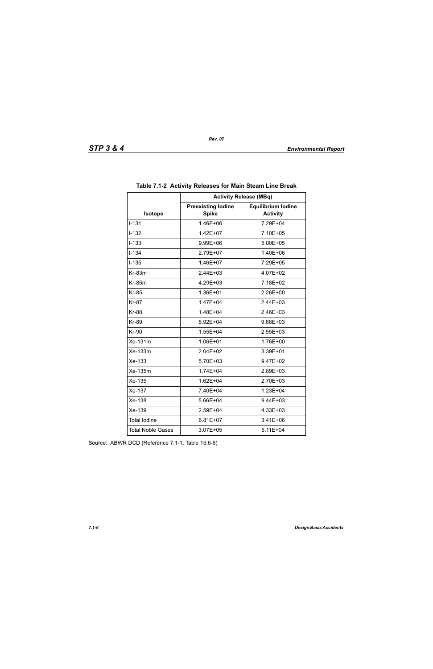|                          | <b>Activity Release (MBq)</b>             |                                              |  |  |  |
|--------------------------|-------------------------------------------|----------------------------------------------|--|--|--|
| <b>Isotope</b>           | <b>Preexisting lodine</b><br><b>Spike</b> | <b>Equilibrium lodine</b><br><b>Activity</b> |  |  |  |
| $I - 131$                | 1.46E+06                                  | 7.29E+04                                     |  |  |  |
| $I - 132$                | 1.42E+07                                  | 7.10E+05                                     |  |  |  |
| $I-133$                  | 9.99E+06                                  | 5.00E+05                                     |  |  |  |
| $I - 134$                | 2.79E+07                                  | 1.40E+06                                     |  |  |  |
| $I-135$                  | 1.46E+07                                  | 7.29E+05                                     |  |  |  |
| Kr-83m                   | 2.44E+03                                  | 4.07E+02                                     |  |  |  |
| <b>Kr-85m</b>            | 4.29E+03                                  | 7.18E+02                                     |  |  |  |
| <b>Kr-85</b>             | 1.36E+01                                  | 2.26E+00                                     |  |  |  |
| <b>Kr-87</b>             | 1.47E+04                                  | 2.44E+03                                     |  |  |  |
| <b>Kr-88</b>             | 1.48E+04                                  | 2.46E+03                                     |  |  |  |
| <b>Kr-89</b>             | 5.92E+04                                  | 9.88E+03                                     |  |  |  |
| <b>Kr-90</b>             | 1.55E+04                                  | 2.55E+03                                     |  |  |  |
| Xe-131m                  | 1.06E+01                                  | 1.76E+00                                     |  |  |  |
| Xe-133m                  | 2.04E+02                                  | 3.39E+01                                     |  |  |  |
| Xe-133                   | 5.70E+03                                  | 9.47E+02                                     |  |  |  |
| Xe-135m                  | 1.74E+04                                  | 2.89E+03                                     |  |  |  |
| Xe-135                   | 1.62E+04                                  | 2.70E+03                                     |  |  |  |
| Xe-137                   | 7.40E+04                                  | 1.23E+04                                     |  |  |  |
| Xe-138                   | 5.66E+04                                  | 9.44E+03                                     |  |  |  |
| Xe-139                   | 2.59E+04                                  | 4.33E+03                                     |  |  |  |
| <b>Total lodine</b>      | $6.81E + 07$                              | 3.41E+06                                     |  |  |  |
| <b>Total Noble Gases</b> | 3.07E+05                                  | $5.11E + 04$                                 |  |  |  |

| Table 7.1-2 Activity Releases for Main Steam Line Break |
|---------------------------------------------------------|
|---------------------------------------------------------|

Source: ABWR DCD (Reference 7.1-1, Table 15.6-6)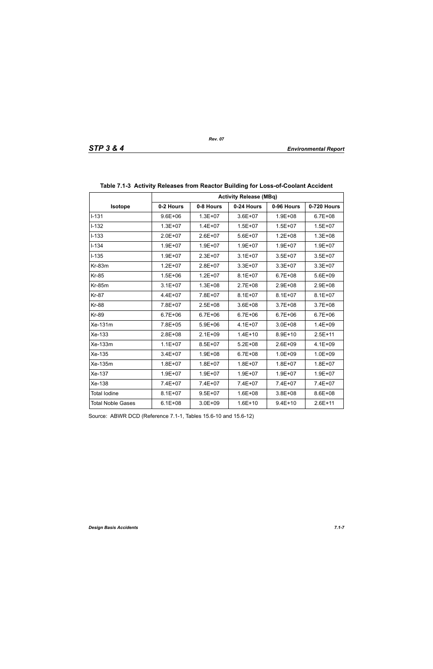|                          | <b>Activity Release (MBq)</b> |             |             |             |             |  |
|--------------------------|-------------------------------|-------------|-------------|-------------|-------------|--|
| Isotope                  | 0-2 Hours                     | 0-8 Hours   | 0-24 Hours  | 0-96 Hours  | 0-720 Hours |  |
| $I-131$                  | $9.6E + 06$                   | $1.3E + 07$ | $3.6E + 07$ | $1.9E + 08$ | $6.7E + 08$ |  |
| $I-132$                  | $1.3E + 07$                   | $1.4E + 07$ | $1.5E + 07$ | $1.5E + 07$ | $1.5E + 07$ |  |
| $I-133$                  | $2.0E + 07$                   | $2.6E + 07$ | $5.6E + 07$ | $1.2E + 08$ | $1.3E + 08$ |  |
| $I - 134$                | $1.9E + 07$                   | $1.9E + 07$ | $1.9E + 07$ | $1.9E + 07$ | $1.9E + 07$ |  |
| $I-135$                  | $1.9E + 07$                   | $2.3E + 07$ | $3.1E + 07$ | $3.5E + 07$ | $3.5E + 07$ |  |
| $Kr-83m$                 | $1.2E + 07$                   | $2.8E + 07$ | $3.3E + 07$ | $3.3E + 07$ | $3.3E + 07$ |  |
| <b>Kr-85</b>             | $1.5E + 06$                   | $1.2E + 07$ | $8.1E + 07$ | $6.7E + 08$ | $5.6E + 09$ |  |
| $Kr-85m$                 | $3.1E + 07$                   | $1.3E + 08$ | $2.7E + 08$ | $2.9E + 08$ | 2.9E+08     |  |
| <b>Kr-87</b>             | $4.4E + 07$                   | 7.8E+07     | $8.1E + 07$ | $8.1E + 07$ | $8.1E + 07$ |  |
| <b>Kr-88</b>             | 7.8E+07                       | $2.5E + 08$ | $3.6E + 08$ | $3.7E + 08$ | $3.7E + 08$ |  |
| <b>Kr-89</b>             | $6.7E + 06$                   | $6.7E + 06$ | $6.7E + 06$ | $6.7E + 06$ | $6.7E + 06$ |  |
| Xe-131m                  | 7.8E+05                       | $5.9E + 06$ | $4.1E + 07$ | $3.0E + 08$ | $1.4E + 09$ |  |
| Xe-133                   | $2.8E + 08$                   | $2.1E + 09$ | $1.4E + 10$ | $8.9E + 10$ | $2.5E+11$   |  |
| Xe-133m                  | $1.1E + 07$                   | $8.5E + 07$ | $5.2E + 08$ | $2.6E + 09$ | $4.1E + 09$ |  |
| Xe-135                   | $3.4E + 07$                   | $1.9E + 08$ | $6.7E + 08$ | $1.0E + 09$ | $1.0E + 09$ |  |
| Xe-135m                  | $1.8E + 07$                   | $1.8E + 07$ | $1.8E + 07$ | $1.8E + 07$ | $1.8E + 07$ |  |
| Xe-137                   | $1.9E + 07$                   | $1.9E + 07$ | $1.9E + 07$ | $1.9E + 07$ | $1.9E + 07$ |  |
| Xe-138                   | 7.4E+07                       | 7.4E+07     | 7.4E+07     | 7.4E+07     | 7.4E+07     |  |
| <b>Total lodine</b>      | $8.1E + 07$                   | $9.5E + 07$ | $1.6E + 08$ | $3.8E + 08$ | 8.6E+08     |  |
| <b>Total Noble Gases</b> | $6.1E + 08$                   | $3.0E + 09$ | $1.6E + 10$ | $9.4E + 10$ | $2.6E + 11$ |  |

# **Table 7.1-3 Activity Releases from Reactor Building for Loss-of-Coolant Accident**

Source: ABWR DCD (Reference 7.1-1, Tables 15.6-10 and 15.6-12)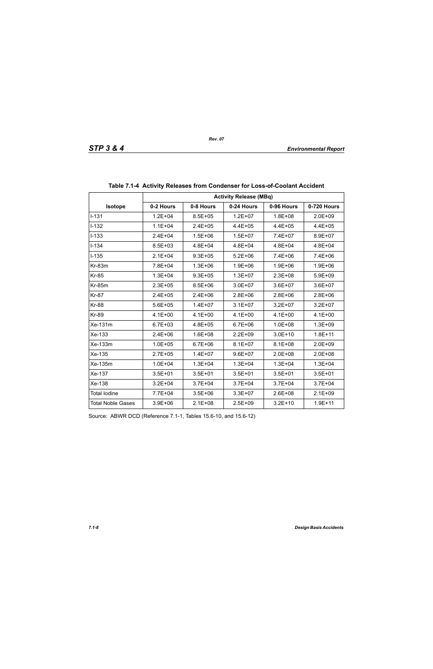|                          | <b>Activity Release (MBq)</b> |             |             |             |             |  |  |
|--------------------------|-------------------------------|-------------|-------------|-------------|-------------|--|--|
| <b>Isotope</b>           | 0-2 Hours                     | 0-8 Hours   | 0-24 Hours  | 0-96 Hours  | 0-720 Hours |  |  |
| $1 - 131$                | $1.2E + 04$                   | $8.5E + 05$ | $1.2E + 07$ | $1.8E + 08$ | $2.0E + 09$ |  |  |
| $I-132$                  | $1.1E + 04$                   | $2.4E + 05$ | $4.4E + 05$ | $4.4E + 05$ | $4.4E + 05$ |  |  |
| $I-133$                  | $2.4E + 04$                   | $1.5E + 06$ | $1.5E + 07$ | 7.4E+07     | 8.9E+07     |  |  |
| $I - 134$                | $8.5E + 03$                   | $4.8E + 04$ | $4.8E + 04$ | $4.8E + 04$ | $4.8E + 04$ |  |  |
| $I-135$                  | $2.1E + 04$                   | $9.3E + 05$ | $5.2E + 06$ | 7.4E+06     | 7.4E+06     |  |  |
| $Kr-83m$                 | 7.8E+04                       | $1.3E + 06$ | $1.9E + 06$ | $1.9E + 06$ | $1.9E + 06$ |  |  |
| <b>Kr-85</b>             | $1.3E + 04$                   | $9.3E + 05$ | $1.3E + 07$ | $2.3E + 08$ | $5.9E + 09$ |  |  |
| <b>Kr-85m</b>            | $2.3E + 05$                   | $8.5E + 06$ | $3.0E + 07$ | $3.6E + 07$ | $3.6E + 07$ |  |  |
| <b>Kr-87</b>             | $2.4E + 05$                   | $2.4E + 06$ | $2.8E + 06$ | $2.8E + 06$ | $2.8E + 06$ |  |  |
| <b>Kr-88</b>             | $5.6E + 05$                   | $1.4E + 07$ | $3.1E + 07$ | $3.2E + 07$ | $3.2E + 07$ |  |  |
| <b>Kr-89</b>             | $4.1E + 00$                   | $4.1E + 00$ | $4.1E + 00$ | $4.1E + 00$ | $4.1E + 00$ |  |  |
| Xe-131m                  | $6.7E + 03$                   | $4.8E + 05$ | $6.7E + 06$ | $1.0E + 08$ | $1.3E + 09$ |  |  |
| Xe-133                   | $2.4E + 06$                   | $1.6E + 08$ | $2.2E + 09$ | $3.0E + 10$ | $1.8E + 11$ |  |  |
| Xe-133m                  | $1.0E + 05$                   | $6.7E + 06$ | $8.1E + 07$ | $8.1E + 08$ | $2.0E + 09$ |  |  |
| Xe-135                   | $2.7E + 05$                   | $1.4E + 07$ | $9.6E + 07$ | $2.0E + 08$ | $2.0E + 08$ |  |  |
| Xe-135m                  | $1.0E + 04$                   | $1.3E + 04$ | $1.3E + 04$ | $1.3E + 04$ | $1.3E + 04$ |  |  |
| Xe-137                   | $3.5E + 01$                   | $3.5E + 01$ | $3.5E + 01$ | $3.5E + 01$ | $3.5E + 01$ |  |  |
| Xe-138                   | $3.2E + 04$                   | $3.7E + 04$ | $3.7E + 04$ | $3.7E + 04$ | $3.7E + 04$ |  |  |
| <b>Total lodine</b>      | 7.7E+04                       | $3.5E + 06$ | $3.3E + 07$ | $2.6E + 08$ | $2.1E + 09$ |  |  |
| <b>Total Noble Gases</b> | $3.9E + 06$                   | $2.1E + 08$ | $2.5E + 09$ | $3.2E + 10$ | $1.9E + 11$ |  |  |

| Table 7.1-4 Activity Releases from Condenser for Loss-of-Coolant Accident |  |  |
|---------------------------------------------------------------------------|--|--|
|                                                                           |  |  |

Source: ABWR DCD (Reference 7.1-1, Tables 15.6-10, and 15.6-12)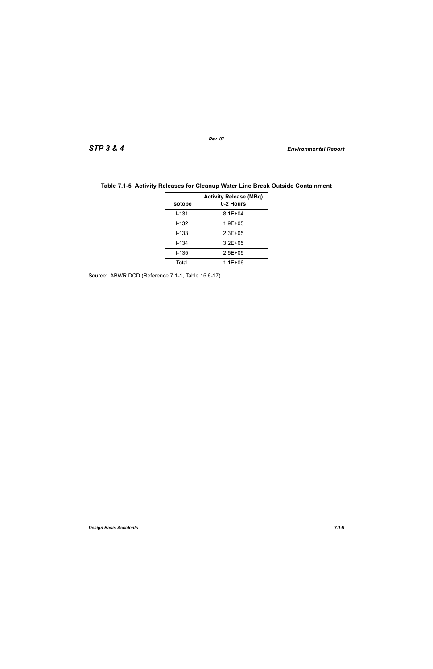| <b>Isotope</b> | <b>Activity Release (MBq)</b><br>0-2 Hours |
|----------------|--------------------------------------------|
| $1 - 131$      | $8.1E + 04$                                |
| $1 - 132$      | $1.9E + 0.5$                               |
| $1 - 133$      | $2.3E + 0.5$                               |
| $I - 134$      | $3.2E + 05$                                |
| $1 - 135$      | $2.5E + 0.5$                               |
| Total          | $1.1E + 06$                                |

# **Table 7.1-5 Activity Releases for Cleanup Water Line Break Outside Containment**

Source: ABWR DCD (Reference 7.1-1, Table 15.6-17)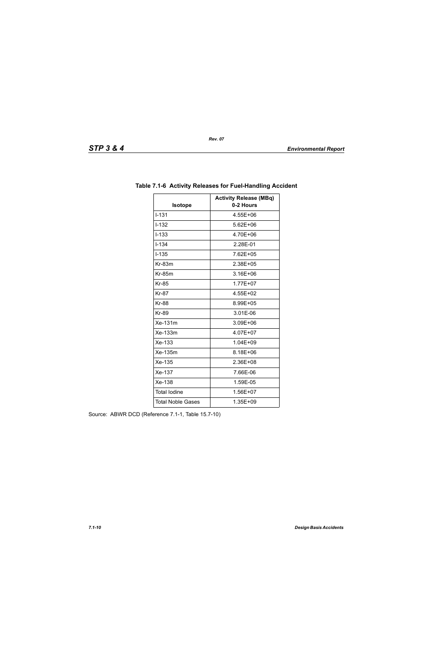| Isotope                  | <b>Activity Release (MBq)</b><br>0-2 Hours |
|--------------------------|--------------------------------------------|
| $1 - 1.31$               | 4.55E+06                                   |
| $I - 132$                | 5.62E+06                                   |
| $I - 133$                | 4.70E+06                                   |
| $I - 134$                | 2.28E-01                                   |
| $1 - 135$                | 7.62E+05                                   |
| $Kr-83m$                 | 2.38E+05                                   |
| $Kr-85m$                 | 3.16E+06                                   |
| <b>Kr-85</b>             | 1.77E+07                                   |
| <b>Kr-87</b>             | 4.55E+02                                   |
| <b>Kr-88</b>             | 8.99E+05                                   |
| <b>Kr-89</b>             | 3.01E-06                                   |
| $Xe-131m$                | 3.09E+06                                   |
| Xe-133m                  | 4.07E+07                                   |
| $Xe-133$                 | 1.04E+09                                   |
| Xe-135m                  | 8.18E+06                                   |
| Xe-135                   | 2.36E+08                                   |
| Xe-137                   | 7.66E-06                                   |
| Xe-138                   | 1.59E-05                                   |
| <b>Total lodine</b>      | 1.56E+07                                   |
| <b>Total Noble Gases</b> | 1.35E+09                                   |

# **Table 7.1-6 Activity Releases for Fuel-Handling Accident**

Source: ABWR DCD (Reference 7.1-1, Table 15.7-10)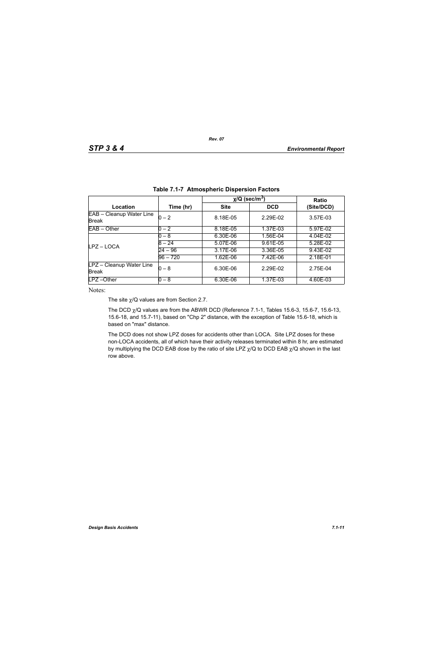|                                          |            | $\chi$ /Q (sec/m <sup>3</sup> ) | Ratio      |            |
|------------------------------------------|------------|---------------------------------|------------|------------|
| Location                                 | Time (hr)  | <b>Site</b>                     | <b>DCD</b> | (Site/DCD) |
| EAB - Cleanup Water Line<br><b>Break</b> | $0 - 2$    | 8.18E-05                        | 2.29E-02   | 3.57E-03   |
| $EAB - Other$                            | $0 - 2$    | 8.18E-05                        | 1.37E-03   | 5.97E-02   |
|                                          | $0-8$      | 6.30E-06                        | 1.56E-04   | 4.04E-02   |
| LPZ-LOCA                                 | $8 - 24$   | 5.07E-06                        | 9.61E-05   | 5.28E-02   |
|                                          | 24 – 96    | 3.17E-06                        | 3.36E-05   | 9.43E-02   |
|                                          | $96 - 720$ | 1.62E-06                        | 7.42E-06   | 2.18E-01   |
| LPZ - Cleanup Water Line<br><b>Break</b> | $0-8$      | 6.30E-06                        | 2.29F-02   | 2.75E-04   |
| $LPZ - Other$                            | $0 - 8$    | 6.30E-06                        | 1.37E-03   | 4.60E-03   |

*Rev. 07*

Notes:

The site  $\chi$ /Q values are from Section 2.7.

The DCD  $\chi$ /Q values are from the ABWR DCD (Reference 7.1-1, Tables 15.6-3, 15.6-7, 15.6-13, 15.6-18, and 15.7-11), based on "Chp 2" distance, with the exception of Table 15.6-18, which is based on "max" distance.

The DCD does not show LPZ doses for accidents other than LOCA. Site LPZ doses for these non-LOCA accidents, all of which have their activity releases terminated within 8 hr, are estimated by multiplying the DCD EAB dose by the ratio of site LPZ  $\chi$ /Q to DCD EAB  $\chi$ /Q shown in the last row above.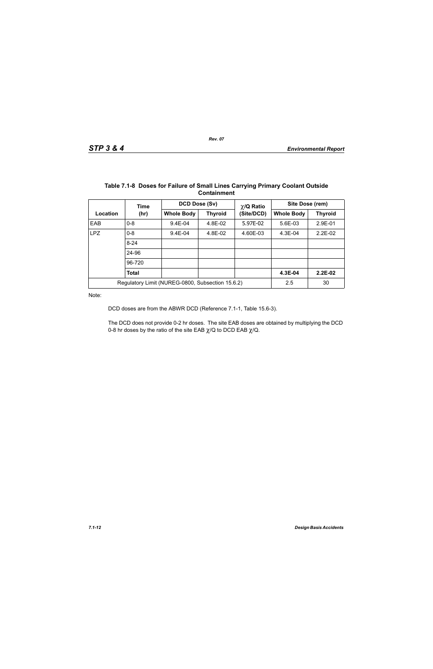|                                                  | Time         | DCD Dose (Sv)     |                | $\chi$ /Q Ratio | Site Dose (rem)   |                |
|--------------------------------------------------|--------------|-------------------|----------------|-----------------|-------------------|----------------|
| Location                                         | (hr)         | <b>Whole Body</b> | <b>Thyroid</b> | (Site/DCD)      | <b>Whole Body</b> | <b>Thyroid</b> |
| EAB                                              | $0 - 8$      | $9.4E - 04$       | 4.8E-02        | 5.97E-02        | 5.6E-03           | 2.9E-01        |
| <b>LPZ</b>                                       | $0 - 8$      | $9.4E - 04$       | 4.8E-02        | 4.60E-03        | $4.3E-04$         | $2.2E-02$      |
|                                                  | $8 - 24$     |                   |                |                 |                   |                |
|                                                  | 24-96        |                   |                |                 |                   |                |
|                                                  | 96-720       |                   |                |                 |                   |                |
|                                                  | <b>Total</b> |                   |                |                 | 4.3E-04           | $2.2E-02$      |
| Regulatory Limit (NUREG-0800, Subsection 15.6.2) |              |                   |                |                 | 2.5               | 30             |

#### **Table 7.1-8 Doses for Failure of Small Lines Carrying Primary Coolant Outside Containment**

Note:

DCD doses are from the ABWR DCD (Reference 7.1-1, Table 15.6-3).

The DCD does not provide 0-2 hr doses. The site EAB doses are obtained by multiplying the DCD 0-8 hr doses by the ratio of the site EAB  $\chi$ /Q to DCD EAB  $\chi$ /Q.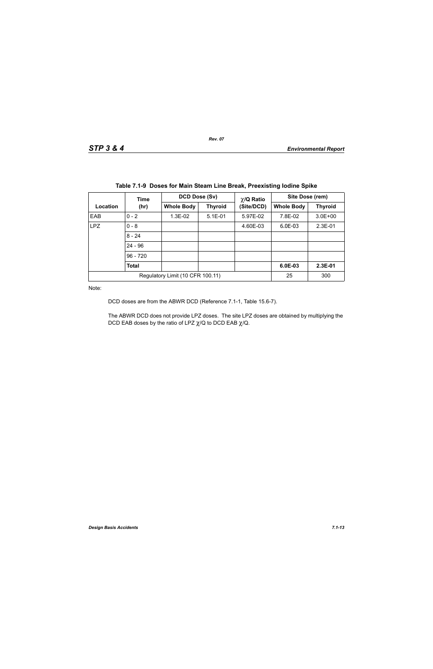|                                  | Time       | DCD Dose (Sv)     |                              | $\chi$ /Q Ratio | Site Dose (rem)   |                |
|----------------------------------|------------|-------------------|------------------------------|-----------------|-------------------|----------------|
| Location                         | (hr)       | <b>Whole Body</b> | (Site/DCD)<br><b>Thyroid</b> |                 | <b>Whole Body</b> | <b>Thyroid</b> |
| EAB                              | $0 - 2$    | 1.3E-02           | $5.1E-01$                    | 5.97E-02        | 7.8E-02           | $3.0E + 00$    |
| <b>LPZ</b>                       | $0 - 8$    |                   |                              | 4.60E-03        | $6.0E-03$         | $2.3E-01$      |
|                                  | $8 - 24$   |                   |                              |                 |                   |                |
|                                  | $24 - 96$  |                   |                              |                 |                   |                |
|                                  | $96 - 720$ |                   |                              |                 |                   |                |
|                                  | Total      |                   |                              |                 | 6.0E-03           | 2.3E-01        |
| Regulatory Limit (10 CFR 100.11) |            |                   |                              |                 | 25                | 300            |

|  | Table 7.1-9 Doses for Main Steam Line Break, Preexisting lodine Spike |  |  |
|--|-----------------------------------------------------------------------|--|--|
|  |                                                                       |  |  |

Note:

DCD doses are from the ABWR DCD (Reference 7.1-1, Table 15.6-7).

The ABWR DCD does not provide LPZ doses. The site LPZ doses are obtained by multiplying the DCD EAB doses by the ratio of LPZ  $\chi$ /Q to DCD EAB  $\chi$ /Q.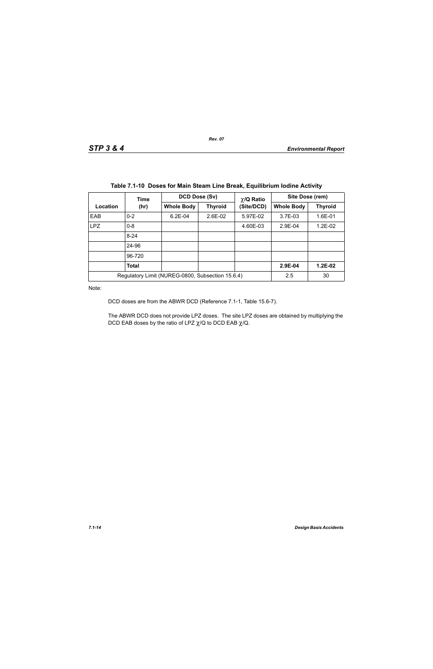|            | Time         | DCD Dose (Sv)                                    |                | $\chi$ /Q Ratio | Site Dose (rem)   |                |  |
|------------|--------------|--------------------------------------------------|----------------|-----------------|-------------------|----------------|--|
| Location   | (hr)         | <b>Whole Body</b>                                | <b>Thyroid</b> | (Site/DCD)      | <b>Whole Body</b> | <b>Thyroid</b> |  |
| EAB        | $0 - 2$      | $6.2E-04$                                        | 2.6E-02        | 5.97E-02        | $3.7E-03$         | 1.6E-01        |  |
| <b>LPZ</b> | $0 - 8$      |                                                  |                | 4.60E-03        | 2.9E-04           | 1.2E-02        |  |
|            | $8 - 24$     |                                                  |                |                 |                   |                |  |
|            | 24-96        |                                                  |                |                 |                   |                |  |
|            | 96-720       |                                                  |                |                 |                   |                |  |
|            | <b>Total</b> |                                                  |                |                 | 2.9E-04           | $1.2E-02$      |  |
|            |              | Regulatory Limit (NUREG-0800, Subsection 15.6.4) |                |                 | 2.5               | 30             |  |

Note:

DCD doses are from the ABWR DCD (Reference 7.1-1, Table 15.6-7).

The ABWR DCD does not provide LPZ doses. The site LPZ doses are obtained by multiplying the DCD EAB doses by the ratio of LPZ  $\chi$ /Q to DCD EAB  $\chi$ /Q.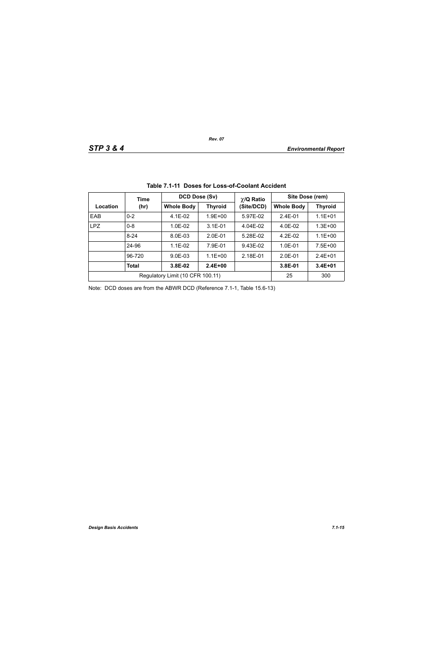|            | Time     |                                  | <b>DCD Dose (Sv)</b><br>$\chi$ /Q Ratio |            | Site Dose (rem)   |                |  |
|------------|----------|----------------------------------|-----------------------------------------|------------|-------------------|----------------|--|
| Location   | (hr)     | <b>Whole Body</b>                | <b>Thyroid</b>                          | (Site/DCD) | <b>Whole Body</b> | <b>Thyroid</b> |  |
| EAB        | $0 - 2$  | $4.1E-02$                        | $1.9E + 00$                             | 5.97E-02   | $2.4E - 01$       | $1.1E + 01$    |  |
| <b>LPZ</b> | $0 - 8$  | $1.0E-02$                        | $3.1E - 01$                             | 4.04E-02   | 4.0E-02           | $1.3E + 00$    |  |
|            | $8 - 24$ | 8.0E-03                          | $2.0E-01$                               | 5.28E-02   | $4.2E-02$         | $1.1E + 00$    |  |
|            | 24-96    | $1.1E-02$                        | 7.9E-01                                 | 9.43E-02   | $1.0E - 01$       | $7.5E + 00$    |  |
|            | 96-720   | $9.0E - 03$                      | $1.1E + 00$                             | 2.18E-01   | $2.0E-01$         | $2.4E + 01$    |  |
|            | Total    | 3.8E-02                          | $2.4E + 00$                             |            | 3.8E-01           | $3.4E + 01$    |  |
|            |          | Regulatory Limit (10 CFR 100.11) |                                         |            | 25                | 300            |  |

|  |  | Table 7.1-11 Doses for Loss-of-Coolant Accident |  |
|--|--|-------------------------------------------------|--|
|--|--|-------------------------------------------------|--|

Note: DCD doses are from the ABWR DCD (Reference 7.1-1, Table 15.6-13)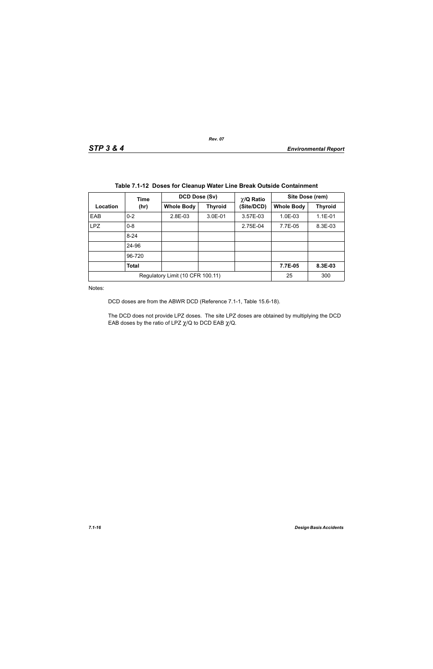|            | Time     | DCD Dose (Sv)                    |                | $\chi$ /Q Ratio | Site Dose (rem)   |                |
|------------|----------|----------------------------------|----------------|-----------------|-------------------|----------------|
| Location   | (hr)     | <b>Whole Body</b>                | <b>Thyroid</b> | (Site/DCD)      | <b>Whole Body</b> | <b>Thyroid</b> |
| EAB        | $0 - 2$  | 2.8E-03                          | 3.0E-01        | 3.57E-03        | $1.0E-03$         | $1.1E-01$      |
| <b>LPZ</b> | $0 - 8$  |                                  |                | 2.75E-04        | 7.7E-05           | 8.3E-03        |
|            | $8 - 24$ |                                  |                |                 |                   |                |
|            | 24-96    |                                  |                |                 |                   |                |
|            | 96-720   |                                  |                |                 |                   |                |
|            | Total    |                                  |                |                 | 7.7E-05           | 8.3E-03        |
|            |          | Regulatory Limit (10 CFR 100.11) |                |                 | 25                | 300            |

|  |  |  |  |  |  | Table 7.1-12 Doses for Cleanup Water Line Break Outside Containment |
|--|--|--|--|--|--|---------------------------------------------------------------------|
|--|--|--|--|--|--|---------------------------------------------------------------------|

Notes:

DCD doses are from the ABWR DCD (Reference 7.1-1, Table 15.6-18).

The DCD does not provide LPZ doses. The site LPZ doses are obtained by multiplying the DCD EAB doses by the ratio of LPZ  $\chi$ /Q to DCD EAB  $\chi$ /Q.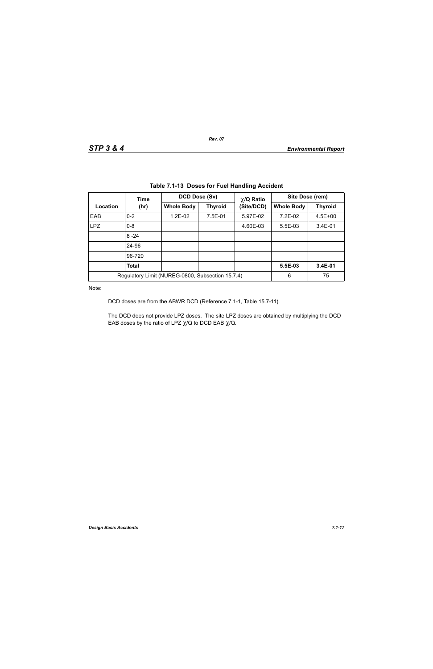| Table 7.1-13 Doses for Fuel Handling Accident |              |                                                  |                |                               |                   |                |  |  |
|-----------------------------------------------|--------------|--------------------------------------------------|----------------|-------------------------------|-------------------|----------------|--|--|
|                                               | Time         |                                                  | DCD Dose (Sv)  |                               | Site Dose (rem)   |                |  |  |
| Location                                      | (hr)         | <b>Whole Body</b>                                | <b>Thyroid</b> | $\chi$ /Q Ratio<br>(Site/DCD) | <b>Whole Body</b> | <b>Thyroid</b> |  |  |
| EAB                                           | $0 - 2$      | 1.2E-02                                          | 7.5E-01        | 5.97E-02                      | 7.2E-02           | $4.5E + 00$    |  |  |
| <b>LPZ</b>                                    | $0 - 8$      |                                                  |                | 4.60E-03                      | $5.5E-03$         | $3.4E-01$      |  |  |
|                                               | $8 - 24$     |                                                  |                |                               |                   |                |  |  |
|                                               | 24-96        |                                                  |                |                               |                   |                |  |  |
|                                               | 96-720       |                                                  |                |                               |                   |                |  |  |
|                                               | <b>Total</b> |                                                  |                |                               | 5.5E-03           | 3.4E-01        |  |  |
|                                               |              | Regulatory Limit (NUREG-0800, Subsection 15.7.4) |                |                               | 6                 | 75             |  |  |

**Table 7.1-13 Doses for Fuel Handling Accident**

Note:

DCD doses are from the ABWR DCD (Reference 7.1-1, Table 15.7-11).

The DCD does not provide LPZ doses. The site LPZ doses are obtained by multiplying the DCD EAB doses by the ratio of LPZ  $\chi$ /Q to DCD EAB  $\chi$ /Q.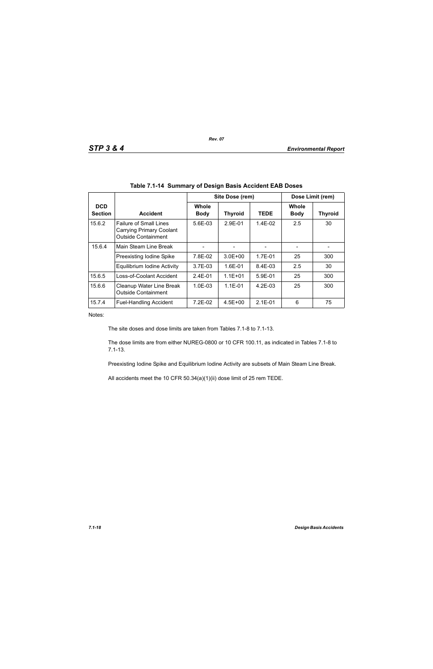|                              |                                                                                                |                      | Site Dose (rem) | Dose Limit (rem) |                      |                |
|------------------------------|------------------------------------------------------------------------------------------------|----------------------|-----------------|------------------|----------------------|----------------|
| <b>DCD</b><br><b>Section</b> | <b>Accident</b>                                                                                | Whole<br><b>Body</b> | <b>Thyroid</b>  | <b>TEDE</b>      | Whole<br><b>Body</b> | <b>Thyroid</b> |
| 15.6.2                       | <b>Failure of Small Lines</b><br><b>Carrying Primary Coolant</b><br><b>Outside Containment</b> | 5.6E-03              | $2.9F - 01$     | $1.4E-02$        | 2.5                  | 30             |
| 15.6.4                       | Main Steam Line Break                                                                          |                      |                 |                  |                      |                |
|                              | Preexisting Iodine Spike                                                                       | 7.8E-02              | $3.0E + 00$     | 1.7E-01          | 25                   | 300            |
|                              | <b>Equilibrium Iodine Activity</b>                                                             | $3.7F - 0.3$         | $1.6E - 01$     | $8.4F - 0.3$     | 2.5                  | 30             |
| 15.6.5                       | Loss-of-Coolant Accident                                                                       | $2.4E - 01$          | $1.1E + 01$     | $5.9E - 01$      | 25                   | 300            |
| 15.6.6                       | Cleanup Water Line Break<br><b>Outside Containment</b>                                         | $1.0E-03$            | $1.1E - 01$     | $4.2F-0.3$       | 25                   | 300            |
| 15.7.4                       | <b>Fuel-Handling Accident</b>                                                                  | $7.2E-02$            | $4.5E + 00$     | $2.1E - 01$      | 6                    | 75             |

*Rev. 07*

Notes:

The site doses and dose limits are taken from Tables 7.1-8 to 7.1-13.

The dose limits are from either NUREG-0800 or 10 CFR 100.11, as indicated in Tables 7.1-8 to 7.1-13.

Preexisting Iodine Spike and Equilibrium Iodine Activity are subsets of Main Steam Line Break.

All accidents meet the 10 CFR 50.34(a)(1)(ii) dose limit of 25 rem TEDE.